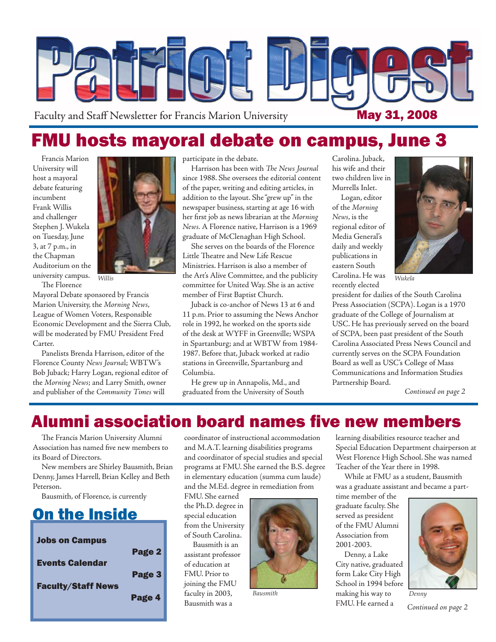

# FMU hosts mayoral debate on campus, June 3

Francis Marion University will host a mayoral debate featuring incumbent Frank Willis and challenger Stephen J. Wukela on Tuesday, June 3, at 7 p.m., in the Chapman Auditorium on the university campus. The Florence



Mayoral Debate sponsored by Francis Marion University, the *Morning News*, League of Women Voters, Responsible Economic Development and the Sierra Club, will be moderated by FMU President Fred Carter.

Panelists Brenda Harrison, editor of the Florence County *News Journa*l; WBTW's Bob Juback; Harry Logan, regional editor of the *Morning News*; and Larry Smith, owner and publisher of the *Community Times* will

participate in the debate.

Harrison has been with *The News Journal* since 1988. She oversees the editorial content of the paper, writing and editing articles, in addition to the layout. She "grew up" in the newspaper business, starting at age 16 with her first job as news librarian at the *Morning News.* A Florence native, Harrison is a 1969 graduate of McClenaghan High School.

She serves on the boards of the Florence Little Theatre and New Life Rescue Ministries. Harrison is also a member of *Willis* **Example 2018** the Art's Alive Committee, and the publicity Carolina. He was *Wukela* committee for United Way. She is an active member of First Baptist Church.

> Juback is co-anchor of News 13 at 6 and 11 p.m. Prior to assuming the News Anchor role in 1992, he worked on the sports side of the desk at WYFF in Greenville; WSPA in Spartanburg; and at WBTW from 1984- 1987. Before that, Juback worked at radio stations in Greenville, Spartanburg and Columbia.

He grew up in Annapolis, Md., and graduated from the University of South Carolina. Juback, his wife and their two children live in Murrells Inlet.

Logan, editor of the *Morning News*, is the regional editor of Media General's daily and weekly publications in eastern South Carolina. He was recently elected



president for dailies of the South Carolina Press Association (SCPA). Logan is a 1970 graduate of the College of Journalism at USC. He has previously served on the board of SCPA, been past president of the South Carolina Associated Press News Council and currently serves on the SCPA Foundation Board as well as USC's College of Mass Communications and Information Studies Partnership Board.

*Continued on page 2*

### Alumni association board names five new members

The Francis Marion University Alumni Association has named five new members to its Board of Directors.

New members are Shirley Bausmith, Brian Denny, James Harrell, Brian Kelley and Beth Peterson.

Bausmith, of Florence, is currently

## On the Inside

| <b>Jobs on Campus</b>     |        |
|---------------------------|--------|
|                           | Page 2 |
| <b>Events Calendar</b>    |        |
|                           | Page 3 |
| <b>Faculty/Staff News</b> |        |
|                           | Page 4 |

coordinator of instructional accommodation and M.A.T. learning disabilities programs and coordinator of special studies and special programs at FMU. She earned the B.S. degree in elementary education (summa cum laude) and the M.Ed. degree in remediation from

FMU. She earned the Ph.D. degree in special education from the University of South Carolina.

Bausmith is an assistant professor of education at FMU. Prior to joining the FMU faculty in 2003, Bausmith was a



learning disabilities resource teacher and Special Education Department chairperson at West Florence High School. She was named Teacher of the Year there in 1998.

While at FMU as a student, Bausmith was a graduate assistant and became a part-

time member of the graduate faculty. She served as president of the FMU Alumni Association from 2001-2003.

Denny, a Lake City native, graduated form Lake City High School in 1994 before making his way to *Bausmith Denny*FMU. He earned a



*Continued on page 2*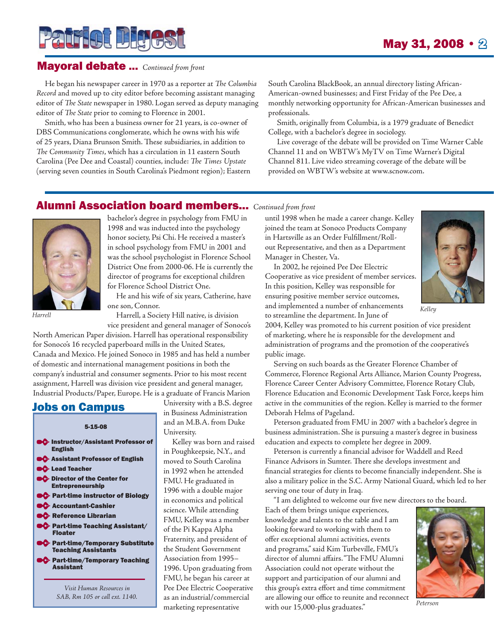# **Patriot Digest**

#### Mayoral debate ... *Continued from front*

He began his newspaper career in 1970 as a reporter at *The Columbia Record* and moved up to city editor before becoming assistant managing editor of *The State* newspaper in 1980. Logan served as deputy managing editor of *The State* prior to coming to Florence in 2001.

Smith, who has been a business owner for 21 years, is co-owner of DBS Communications conglomerate, which he owns with his wife of 25 years, Diana Brunson Smith. These subsidiaries, in addition to The Community Times, which has a circulation in 11 eastern South Carolina (Pee Dee and Coastal) counties, include: *The Times Upstate* (serving seven counties in South Carolina's Piedmont region); Eastern South Carolina BlackBook, an annual directory listing African-American-owned businesses; and First Friday of the Pee Dee, a monthly networking opportunity for African-American businesses and professionals.

Smith, originally from Columbia, is a 1979 graduate of Benedict College, with a bachelor's degree in sociology.

Live coverage of the debate will be provided on Time Warner Cable Channel 11 and on WBTW's MyTV on Time Warner's Digital Channel 811. Live video streaming coverage of the debate will be provided on WBTW's website at www.scnow.com.

#### Alumni Association board members... *Continued from front*



bachelor's degree in psychology from FMU in 1998 and was inducted into the psychology honor society, Psi Chi. He received a master's in school psychology from FMU in 2001 and was the school psychologist in Florence School District One from 2000-06. He is currently the director of programs for exceptional children for Florence School District One.

He and his wife of six years, Catherine, have one son, Connor.

Harrell, a Society Hill native, is division vice president and general manager of Sonoco's

North American Paper division. Harrell has operational responsibility for Sonoco's 16 recycled paperboard mills in the United States, Canada and Mexico. He joined Sonoco in 1985 and has held a number of domestic and international management positions in both the company's industrial and consumer segments. Prior to his most recent assignment, Harrell was division vice president and general manager, Industrial Products/Paper, Europe. He is a graduate of Francis Marion

#### Jobs on Campus

#### 5-15-08

- **Instructor/Assistant Professor of** English
- **C** Assistant Professor of English
- **C** Lead Teacher
- **OC** Director of the Center for Entrepreneurship
- **C**> Part-time instructor of Biology
- **C** Accountant-Cashier
- **C** Reference Librarian
- **C** Part-time Teaching Assistant/ Floater
- **C** Part-time/Temporary Substitute Teaching Assistants
- **C** Part-time/Temporary Teaching Assistant

*Visit Human Resources in SAB, Rm 105 or call ext. 1140.* University with a B.S. degree in Business Administration and an M.B.A. from Duke University.

Kelley was born and raised in Poughkeepsie, N.Y., and moved to South Carolina in 1992 when he attended FMU. He graduated in 1996 with a double major in economics and political science. While attending FMU, Kelley was a member of the Pi Kappa Alpha Fraternity, and president of the Student Government Association from 1995– 1996. Upon graduating from FMU, he began his career at Pee Dee Electric Cooperative as an industrial/commercial marketing representative

until 1998 when he made a career change. Kelley joined the team at Sonoco Products Company in Hartsville as an Order Fulfillment/Rollout Representative, and then as a Department Manager in Chester, Va.

In 2002, he rejoined Pee Dee Electric Cooperative as vice president of member services. In this position, Kelley was responsible for ensuring positive member service outcomes, and implemented a number of enhancements to streamline the department. In June of *Harrell Kelley*



2004, Kelley was promoted to his current position of vice president of marketing, where he is responsible for the development and administration of programs and the promotion of the cooperative's public image.

Serving on such boards as the Greater Florence Chamber of Commerce, Florence Regional Arts Alliance, Marion County Progress, Florence Career Center Advisory Committee, Florence Rotary Club, Florence Education and Economic Development Task Force, keeps him active in the communities of the region. Kelley is married to the former Deborah Helms of Pageland.

Peterson graduated from FMU in 2007 with a bachelor's degree in business administration. She is pursuing a master's degree in business education and expects to complete her degree in 2009.

Peterson is currently a financial advisor for Waddell and Reed Finance Advisors in Sumter. There she develops investment and financial strategies for clients to become financially independent. She is also a military police in the S.C. Army National Guard, which led to her serving one tour of duty in Iraq.

"I am delighted to welcome our five new directors to the board.

Each of them brings unique experiences, knowledge and talents to the table and I am looking forward to working with them to offer exceptional alumni activities, events and programs," said Kim Turbeville, FMU's director of alumni affairs. "The FMU Alumni Association could not operate without the support and participation of our alumni and this group's extra effort and time commitment are allowing our office to reunite and reconnect with our 15,000-plus graduates."



*Peterson*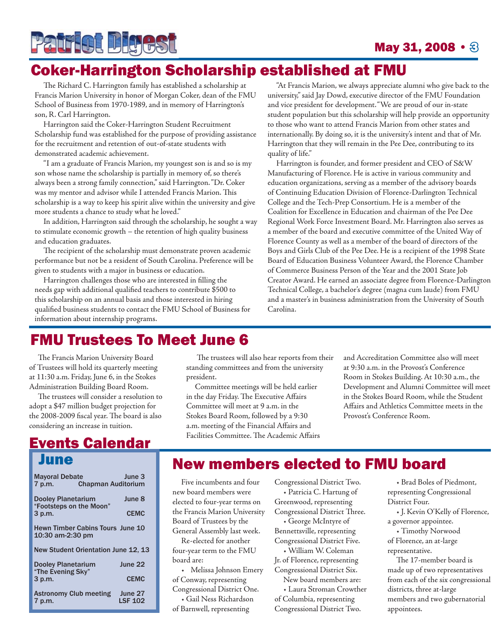# **Patrict Bigest**

#### **May 31, 2008** •  $\otimes$

# Coker-Harrington Scholarship established at FMU

The Richard C. Harrington family has established a scholarship at Francis Marion University in honor of Morgan Coker, dean of the FMU School of Business from 1970-1989, and in memory of Harrington's son, R. Carl Harrington.

Harrington said the Coker-Harrington Student Recruitment Scholarship fund was established for the purpose of providing assistance for the recruitment and retention of out-of-state students with demonstrated academic achievement.

"I am a graduate of Francis Marion, my youngest son is and so is my son whose name the scholarship is partially in memory of, so there's always been a strong family connection," said Harrington. "Dr. Coker was my mentor and advisor while I attended Francis Marion. This scholarship is a way to keep his spirit alive within the university and give more students a chance to study what he loved."

In addition, Harrington said through the scholarship, he sought a way to stimulate economic growth – the retention of high quality business and education graduates.

The recipient of the scholarship must demonstrate proven academic performance but not be a resident of South Carolina. Preference will be given to students with a major in business or education.

Harrington challenges those who are interested in filling the needs gap with additional qualified teachers to contribute \$500 to this scholarship on an annual basis and those interested in hiring qualified business students to contact the FMU School of Business for information about internship programs.

"At Francis Marion, we always appreciate alumni who give back to the university," said Jay Dowd, executive director of the FMU Foundation and vice president for development. "We are proud of our in-state student population but this scholarship will help provide an opportunity to those who want to attend Francis Marion from other states and internationally. By doing so, it is the university's intent and that of Mr. Harrington that they will remain in the Pee Dee, contributing to its quality of life."

Harrington is founder, and former president and CEO of S&W Manufacturing of Florence. He is active in various community and education organizations, serving as a member of the advisory boards of Continuing Education Division of Florence-Darlington Technical College and the Tech-Prep Consortium. He is a member of the Coalition for Excellence in Education and chairman of the Pee Dee Regional Work Force Investment Board. Mr. Harrington also serves as a member of the board and executive committee of the United Way of Florence County as well as a member of the board of directors of the Boys and Girls Club of the Pee Dee. He is a recipient of the 1998 State Board of Education Business Volunteer Award, the Florence Chamber of Commerce Business Person of the Year and the 2001 State Job Creator Award. He earned an associate degree from Florence-Darlington Technical College, a bachelor's degree (magna cum laude) from FMU and a master's in business administration from the University of South Carolina.

## FMU Trustees To Meet June 6

The Francis Marion University Board of Trustees will hold its quarterly meeting at 11:30 a.m. Friday, June 6, in the Stokes Administration Building Board Room.

The trustees will consider a resolution to adopt a \$47 million budget projection for the 2008-2009 fiscal year. The board is also considering an increase in tuition.

#### Events Calendar June

| <b>Mayoral Debate</b><br>7 p.m.                             | <b>Chapman Auditorium</b> | June 3                    |
|-------------------------------------------------------------|---------------------------|---------------------------|
| <b>Dooley Planetarium</b>                                   |                           | June 8                    |
| "Footsteps on the Moon"<br>3 p.m.                           | <b>CEMC</b>               |                           |
| <b>Hewn Timber Cabins Tours June 10</b><br>10:30 am-2:30 pm |                           |                           |
| New Student Orientation June 12, 13                         |                           |                           |
| <b>Dooley Planetarium</b><br>"The Evening Sky"<br>3 p.m.    | June 22                   |                           |
|                                                             |                           | <b>CEMC</b>               |
| <b>Astronomy Club meeting</b><br>7 p.m.                     |                           | June 27<br><b>LSF 102</b> |

The trustees will also hear reports from their standing committees and from the university president.

Committee meetings will be held earlier in the day Friday. The Executive Affairs Committee will meet at 9 a.m. in the Stokes Board Room, followed by a 9:30 a.m. meeting of the Financial Affairs and Facilities Committee. The Academic Affairs and Accreditation Committee also will meet at 9:30 a.m. in the Provost's Conference Room in Stokes Building. At 10:30 a.m., the Development and Alumni Committee will meet in the Stokes Board Room, while the Student Affairs and Athletics Committee meets in the Provost's Conference Room.

# New members elected to FMU board

Five incumbents and four new board members were elected to four-year terms on the Francis Marion University Board of Trustees by the General Assembly last week.

Re-elected for another four-year term to the FMU board are:

• Melissa Johnson Emery of Conway, representing Congressional District One. • Gail Ness Richardson of Barnwell, representing

Congressional District Two. • Patricia C. Hartung of Greenwood, representing Congressional District Three.

• George McIntyre of Bennettsville, representing Congressional District Five. • William W. Coleman

Jr. of Florence, representing Congressional District Six.

New board members are:

• Laura Stroman Crowther of Columbia, representing Congressional District Two.

• Brad Boles of Piedmont, representing Congressional District Four.

• J. Kevin O'Kelly of Florence, a governor appointee.

• Timothy Norwood of Florence, an at-large

representative.

The 17-member board is made up of two representatives from each of the six congressional districts, three at-large members and two gubernatorial appointees.